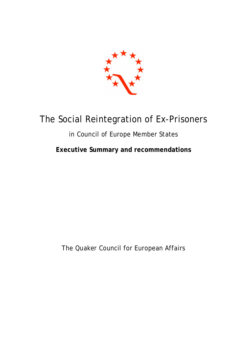

# The Social Reintegration of Ex-Prisoners

# in Council of Europe Member States

**Executive Summary and recommendations**

The Quaker Council for European Affairs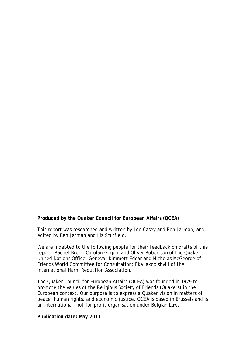#### **Produced by the Quaker Council for European Affairs (QCEA)**

This report was researched and written by Joe Casey and Ben Jarman, and edited by Ben Jarman and Liz Scurfield.

We are indebted to the following people for their feedback on drafts of this report: Rachel Brett, Carolan Goggin and Oliver Robertson of the Quaker United Nations Office, Geneva; Kimmett Edgar and Nicholas McGeorge of Friends World Committee for Consultation; Eka Iakobishvili of the International Harm Reduction Association.

The Quaker Council for European Affairs (QCEA) was founded in 1979 to promote the values of the Religious Society of Friends (Quakers) in the European context. Our purpose is to express a Quaker vision in matters of peace, human rights, and economic justice. QCEA is based in Brussels and is an international, not-for-profit organisation under Belgian Law.

#### **Publication date: May 2011**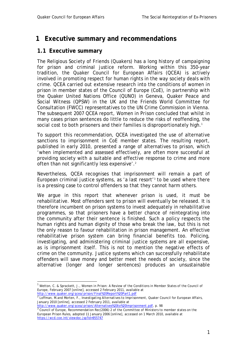# **1 Executive summary and recommendations**

## **1.1 Executive summary**

The Religious Society of Friends (Quakers) has a long history of campaigning for prison and criminal justice reform. Working within this 350-year tradition, the Quaker Council for European Affairs (QCEA) is actively involved in promoting respect for human rights in the way society deals with crime. QCEA carried out extensive research into the conditions of women in prison in member states of the Council of Europe (CoE), in partnership with the Quaker United Nations Office (QUNO) in Geneva, Quaker Peace and Social Witness (QPSW) in the UK and the Friends World Committee for Consultation (FWCC) representatives to the UN Crime Commission in Vienna. The subsequent 2007 QCEA report, *Women in Prison* concluded that whilst in many cases prison sentences do little to reduce the risks of reoffending, the social cost to both prisoners and their families is disproportionately high.<sup>1</sup>

To support this recommendation, QCEA investigated the use of alternative sanctions to imprisonment in CoE member states. The resulting report, published in early 2010, presented a range of alternatives to prison, which 'when implemented and assessed effectively, are often more successful at providing society with a suitable and effective response to crime and more often than not significantly less expensive'.<sup>2</sup>

Nevertheless, QCEA recognises that imprisonment will remain a part of European criminal justice systems, as 'a last resort'<sup>3</sup> to be used where there is a pressing case to control offenders so that they cannot harm others.

We argue in this report that whenever prison is used, it must be rehabilitative. Most offenders sent to prison will eventually be released. It is therefore incumbent on prison systems to invest adequately in rehabilitative programmes, so that prisoners have a better chance of reintegrating into the community after their sentence is finished. Such a policy respects the human rights and human dignity of those who break the law, but this is not the only reason to favour rehabilitation in prison management. An effective rehabilitative prison system can bring financial benefits too. Policing, investigating, and administering criminal justice systems are all expensive, as is imprisonment itself. This is not to mention the negative effects of crime on the community. Justice systems which can successfully rehabilitate offenders will save money and better meet the needs of society, since the alternative (longer and longer sentences) produces an unsustainable

 1 Wetton, C. & Sprackett, J., *Women in Prison: A Review of the Conditions in Member States of the Council of Europe*, February 2007 [online], accessed 2 February 2011, available at

http://www.quaker.org/qcea/prison/Final%20Report%20Part1.pdf 2 Loffman, M.and Morten, F., *Investigating Alternatives to Imprisonment*, Quaker Council for European Affairs, January 2010 [online], accessed 2 February 2011, available at

http://www.quaker.org/qcea/prison/Alternatives%20to%20Imprisonment.pdf, p. 98 3 Council of Europe, *Recommendation Rec(2006) 2 of the Committee of Ministers to member states on the European Prison Rules*, adopted 11 January 2006 [online], accessed on 1 March 2010, available at https://wcd.coe.int/viewdoc.jsp?id=955747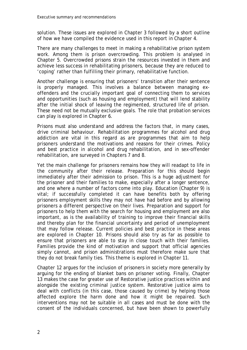solution. These issues are explored in Chapter 3 followed by a short outline of how we have compiled the evidence used in this report in Chapter 4.

There are many challenges to meet in making a rehabilitative prison system work. Among them is prison overcrowding. This problem is analysed in Chapter 5. Overcrowded prisons strain the resources invested in them and achieve less success in rehabilitating prisoners, because they are reduced to 'coping' rather than fulfilling their primary, rehabilitative function.

Another challenge is ensuring that prisoners' transition after their sentence is properly managed. This involves a balance between managing exoffenders and the crucially important goal of connecting them to services and opportunities (such as housing and employment) that will lend stability after the initial shock of leaving the regimented, structured life of prison. These need not be mutually exclusive goals. The role that probation services can play is explored in Chapter 6.

Prisons must also understand and address the factors that, in many cases, drive criminal behaviour. Rehabilitation programmes for alcohol and drug addiction are vital in this regard as are programmes that aim to help prisoners understand the motivations and reasons for their crimes. Policy and best practice in alcohol and drug rehabilitation, and in sex-offender rehabilitation, are surveyed in Chapters 7 and 8.

Yet the main challenge for prisoners remains how they will readapt to life in the community after their release. Preparation for this should begin immediately after their admission to prison. This is a huge adjustment for the prisoner and their families to make, especially after a longer sentence, and one where a number of factors come into play. Education (Chapter 9) is vital; if successfully completed it can have benefits both by offering prisoners employment skills they may not have had before and by allowing prisoners a different perspective on their lives. Preparation and support for prisoners to help them with the search for housing and employment are also important, as is the availability of training to improve their financial skills and thereby plan for the financial uncertainty and period of unemployment that may follow release. Current policies and best practice in these areas are explored in Chapter 10. Prisons should also try as far as possible to ensure that prisoners are able to stay in close touch with their families. Families provide the kind of motivation and support that official agencies simply cannot, and prison administrations must therefore make sure that they do not break family ties. This theme is explored in Chapter 11.

Chapter 12 argues for the inclusion of prisoners in society more generally by arguing for the ending of blanket bans on prisoner voting. Finally, Chapter 13 makes the case for greater use of Restorative justice practices within and alongside the existing criminal justice system. Restorative justice aims to deal with conflicts (in this case, those caused by crime) by helping those affected explore the harm done and how it might be repaired. Such interventions may not be suitable in all cases and must be done with the consent of the individuals concerned, but have been shown to powerfully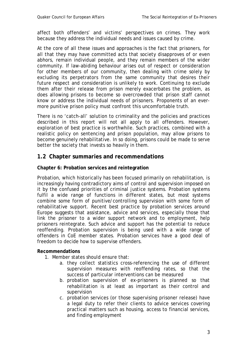affect both offenders' and victims' perspectives on crimes. They work because they address the individual needs and issues caused by crime.

At the core of all these issues and approaches is the fact that prisoners, for all that they may have committed acts that society disapproves of or even abhors, remain individual people, and they remain members of the wider community. If law-abiding behaviour arises out of respect or consideration for other members of our community, then dealing with crime solely by excluding its perpetrators from the same community that desires their future respect and consideration is unlikely to work. Continuing to exclude them after their release from prison merely exacerbates the problem, as does allowing prisons to become so overcrowded that prison staff cannot know or address the individual needs of prisoners. Proponents of an evermore punitive prison policy must confront this uncomfortable truth.

There is no 'catch-all' solution to criminality and the policies and practices described in this report will not all apply to all offenders. However, exploration of best practice is worthwhile. Such practices, combined with a realistic policy on sentencing and prison population, may allow prisons to become genuinely rehabilitative. In so doing, prisons could be made to serve better the society that invests so heavily in them.

### **1.2 Chapter summaries and recommendations**

#### **Chapter 6: Probation services and reintegration**

Probation, which historically has been focused primarily on rehabilitation, is increasingly having contradictory aims of control and supervision imposed on it by the confused priorities of criminal justice systems. Probation systems fulfil a wide range of functions in different states, but most systems combine some form of punitive/controlling supervision with some form of rehabilitative support. Recent best practice by probation services around Europe suggests that assistance, advice and services, especially those that link the prisoner to a wider support network and to employment, help prisoners reintegrate. Such advice and support has the potential to reduce reoffending. Probation supervision is being used with a wide range of offenders in CoE member states. Probation services have a good deal of freedom to decide how to supervise offenders.

- 1. Member states should ensure that:
	- a. they collect statistics cross-referencing the use of different supervision measures with reoffending rates, so that the success of particular interventions can be measured
	- b. probation supervision of ex-prisoners is planned so that rehabilitation is at least as important as their control and supervision
	- c. probation services (or those supervising prisoner release) have a legal duty to refer their clients to advice services covering practical matters such as housing, access to financial services, and finding employment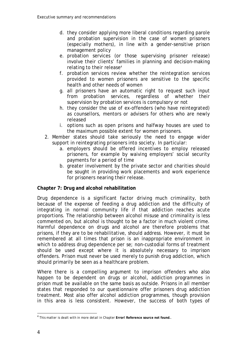- d. they consider applying more liberal conditions regarding parole and probation supervision in the case of women prisoners (especially mothers), in line with a gender-sensitive prison management policy
- e. probation services (or those supervising prisoner release) involve their clients' families in planning and decision-making relating to their release<sup>4</sup>
- f. probation services review whether the reintegration services provided to women prisoners are sensitive to the specific health and other needs of women
- g. all prisoners have an automatic right to request such input from probation services, regardless of whether their supervision by probation services is compulsory or not
- h. they consider the use of ex-offenders (who have reintegrated) as counsellors, mentors or advisers for others who are newly released
- i. options such as open prisons and halfway houses are used to the maximum possible extent for women prisoners.
- 2. Member states should take seriously the need to engage wider support in reintegrating prisoners into society. In particular:
	- a. employers should be offered incentives to employ released prisoners, for example by waiving employers' social security payments for a period of time
	- b. greater involvement by the private sector and charities should be sought in providing work placements and work experience for prisoners nearing their release.

### **Chapter 7: Drug and alcohol rehabilitation**

Drug dependence is a significant factor driving much criminality, both because of the expense of feeding a drug addiction and the difficulty of integrating in normal community life if that addiction reaches acute proportions. The relationship between alcohol misuse and criminality is less commented on, but alcohol is thought to be a factor in much violent crime. Harmful dependence on drugs and alcohol are therefore problems that prisons, if they are to be rehabilitative, should address. However, it must be remembered at all times that prison is an inappropriate environment in which to address drug dependence *per se;* non-custodial forms of treatment should be used except where it is absolutely necessary to imprison offenders. Prison must never be used merely to punish drug addiction, which should primarily be seen as a healthcare problem.

Where there is a compelling argument to imprison offenders who also happen to be dependent on drugs or alcohol, addiction programmes in prison must be available on the same basis as outside. Prisons in all member states that responded to our questionnaire offer prisoners drug addiction treatment. Most also offer alcohol addiction programmes, though provision in this area is less consistent. However, the success of both types of

 4 This matter is dealt with in more detail in Chapter **Error! Reference source not found.**.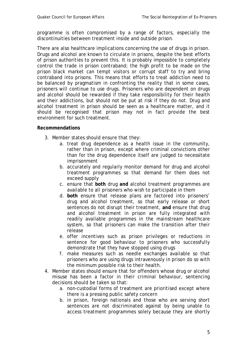programme is often compromised by a range of factors, especially the discontinuities between treatment inside and outside prison.

There are also healthcare implications concerning the use of drugs in prison. Drugs and alcohol are known to circulate in prisons, despite the best efforts of prison authorities to prevent this. It is probably impossible to completely control the trade in prison contraband; the high profit to be made on the prison black market can tempt visitors or corrupt staff to try and bring contraband into prisons. This means that efforts to treat addiction need to be balanced by pragmatism in confronting the reality that in some cases, prisoners will continue to use drugs. Prisoners who are dependent on drugs and alcohol should be rewarded if they take responsibility for their health and their addictions, but should not be put at risk if they do not. Drug and alcohol treatment in prison should be seen as a healthcare matter, and it should be recognised that prison may not in fact provide the best environment for such treatment.

- 3. Member states should ensure that they:
	- a. treat drug dependence as a health issue in the community, rather than in prison, except where criminal convictions other than for the drug dependence itself are judged to necessitate imprisonment
	- b. accurately and regularly monitor demand for drug and alcohol treatment programmes so that demand for them does not exceed supply
	- c. ensure that **both** drug **and** alcohol treatment programmes are available to all prisoners who wish to participate in them
	- d. **both** ensure that release plans are factored into prisoners' drug and alcohol treatment, so that early release or short sentences do not disrupt their treatment, **and** ensure that drug and alcohol treatment in prison are fully integrated with readily available programmes in the mainstream healthcare system, so that prisoners can make the transition after their release
	- e. offer incentives such as prison privileges or reductions in sentence for good behaviour to prisoners who successfully demonstrate that they have stopped using drugs
	- f. make measures such as needle exchanges available so that prisoners who are using drugs intravenously in prison do so with the minimum possible risk to their health.
- 4. Member states should ensure that for offenders whose drug or alcohol misuse has been a factor in their criminal behaviour, sentencing decisions should be taken so that:
	- a. non-custodial forms of treatment are prioritised except where there is a pressing public safety concern
	- b. in prison, foreign nationals and those who are serving short sentences are not discriminated against by being unable to access treatment programmes solely because they are shortly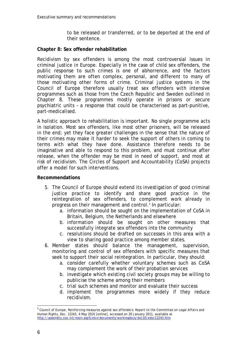to be released or transferred, or to be deported at the end of their sentence.

#### **Chapter 8: Sex offender rehabilitation**

Recidivism by sex offenders is among the most controversial issues in criminal justice in Europe. Especially in the case of child sex offenders, the public response to such crimes is one of abhorrence, and the factors motivating them are often complex, personal, and different to many of those motivating other forms of crime. Criminal justice systems in the Council of Europe therefore usually treat sex offenders with intensive programmes such as those from the Czech Republic and Sweden outlined in Chapter 8. These programmes mostly operate in prisons or secure psychiatric units – a response that could be characterised as part-punitive, part-medicalised.

A holistic approach to rehabilitation is important. No single programme acts in isolation. Most sex offenders, like most other prisoners, will be released in the end; yet they face greater challenges in the sense that the nature of their crimes may make it harder to seek the support of others in coming to terms with what they have done. Assistance therefore needs to be imaginative and able to respond to this problem, and must continue after release, when the offender may be most in need of support, and most at risk of recidivism. The Circles of Support and Accountability (CoSA) projects offer a model for such interventions.

- 5. The Council of Europe should extend its investigation of good criminal justice practice to identify and share good practice in the reintegration of sex offenders, to complement work already in progress on their management and control.<sup>5</sup> In particular:
	- a. information should be sought on the implementation of CoSA in Britain, Belgium, the Netherlands and elsewhere
	- b. information should be sought on other measures that successfully integrate sex offenders into the community
	- c. resolutions should be drafted on successes in this area with a view to sharing good practice among member states.
- 6. Member states should balance the management, supervision, monitoring and control of sex offenders with specific measures that seek to support their social reintegration. In particular, they should:
	- a. consider carefully whether voluntary schemes such as CoSA may complement the work of their probation services
	- b. investigate which existing civil society groups may be willing to publicise the scheme among their members
	- c. trial such schemes and monitor and evaluate their success
	- d. implement the programmes more widely if they reduce recidivism.

 5 Council of Europe, *Reinforcing measures against sex offenders: Report to the Committee on Legal Affairs and Human Rights*, Doc. 12243, 4 May 2010 [online], accessed on 20 January 2011, available at http://assembly.coe.int/main.asp?Link=/documents/workingdocs/doc10/edoc12243.htm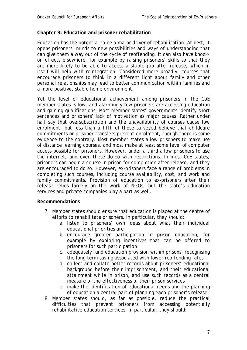#### **Chapter 9: Education and prisoner rehabilitation**

Education has the potential to be a major driver of rehabilitation. At best, it opens prisoners' minds to new possibilities and ways of understanding that can give them a way out of the cycle of reoffending. It can also have knockon effects elsewhere, for example by raising prisoners' skills so that they are more likely to be able to access a stable job after release, which in itself will help with reintegration. Considered more broadly, courses that encourage prisoners to think in a different light about family and other personal relationships may lead to better communication within families and a more positive, stable home environment.

Yet the level of educational achievement among prisoners in the CoE member states is low, and alarmingly few prisoners are accessing education and gaining qualifications. Most member states' governments identify short sentences and prisoners' lack of motivation as major causes. Rather under half say that oversubscription and the unavailability of courses cause low enrolment, but less than a fifth of those surveyed believe that childcare commitments or prisoner transfers prevent enrolment, though there is some evidence to the contrary. Most member states allow prisoners to make use of distance learning courses, and most make at least some level of computer access possible for prisoners. However, under a third allow prisoners to use the internet, and even these do so with restrictions. In most CoE states, prisoners can begin a course in prison for completion after release, and they are encouraged to do so. However, ex-prisoners face a range of problems in completing such courses, including course availability, cost, and work and family commitments. Provision of education to ex-prisoners after their release relies largely on the work of NGOs, but the state's education services and private companies play a part as well.

- 7. Member states should ensure that education is placed at the centre of efforts to rehabilitate prisoners. In particular, they should:
	- a. listen to prisoners' own ideas about what their individual educational priorities are
	- b. encourage greater participation in prison education, for example by exploring incentives that can be offered to prisoners for such participation
	- c. adequately fund education provision within prisons, recognising the long-term saving associated with lower reoffending rates
	- d. collect and collate better records about prisoners' educational background before their imprisonment, and their educational attainment while in prison, and use such records as a central measure of the effectiveness of their prison services
	- e. make the identification of educational needs and the planning of education a central part of planning each prisoner's release.
- 8. Member states should, as far as possible, reduce the practical difficulties that prevent prisoners from accessing potentially rehabilitative education services. In particular, they should: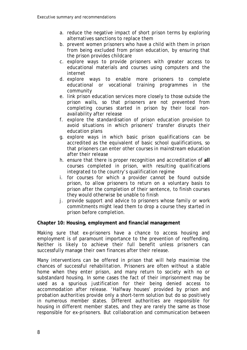- a. reduce the negative impact of short prison terms by exploring alternatives sanctions to replace them
- b. prevent women prisoners who have a child with them in prison from being excluded from prison education, by ensuring that the prison provides childcare
- c. explore ways to provide prisoners with greater access to educational materials and courses using computers and the internet
- d. explore ways to enable more prisoners to complete educational or vocational training programmes in the community
- e. link prison education services more closely to those outside the prison walls, so that prisoners are not prevented from completing courses started in prison by their local nonavailability after release
- f. explore the standardisation of prison education provision to avoid situations in which prisoners' transfer disrupts their education plans
- g. explore ways in which basic prison qualifications can be accredited as the equivalent of basic school qualifications, so that prisoners can enter other courses in mainstream education after their release
- h. ensure that there is proper recognition and accreditation of **all**  courses completed in prison, with resulting qualifications integrated to the country's qualification regime
- i. for courses for which a provider cannot be found outside prison, to allow prisoners to return on a voluntary basis to prison after the completion of their sentence, to finish courses they would otherwise be unable to finish
- j. provide support and advice to prisoners whose family or work commitments might lead them to drop a course they started in prison before completion.

#### **Chapter 10: Housing, employment and financial management**

Making sure that ex-prisoners have a chance to access housing and employment is of paramount importance to the prevention of reoffending. Neither is likely to achieve their full benefit unless prisoners can successfully manage their own finances after their release.

Many interventions can be offered in prison that will help maximise the chances of successful rehabilitation. Prisoners are often without a stable home when they enter prison, and many return to society with no or substandard housing. In some cases the fact of their imprisonment may be used as a spurious justification for their being denied access to accommodation after release. 'Halfway houses' provided by prison and probation authorities provide only a short-term solution but do so positively in numerous member states. Different authorities are responsible for housing in different member states, and they are rarely the same as those responsible for ex-prisoners. But collaboration and communication between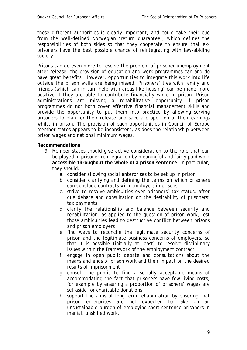these different authorities is clearly important, and could take their cue from the well-defined Norwegian 'return guarantee', which defines the responsibilities of both sides so that they cooperate to ensure that exprisoners have the best possible chance of reintegrating with law-abiding society.

Prisons can do even more to resolve the problem of prisoner unemployment after release; the provision of education and work programmes can and do have great benefits. However, opportunities to integrate this work into life outside the prison walls are being missed. Prisoners' ties with family and friends (which can in turn help with areas like housing) can be made more positive if they are able to contribute financially while in prison. Prison administrations are missing a rehabilitative opportunity if prison programmes do not both cover effective financial management skills and provide the opportunity to put them into practice by allowing serving prisoners to plan for their release and save a proportion of their earnings whilst in prison. The provision of such opportunities in Council of Europe member states appears to be inconsistent, as does the relationship between prison wages and national minimum wages.

- 9. Member states should give active consideration to the role that can be played in prisoner reintegration by meaningful and fairly paid work **accessible throughout the whole of a prison sentence**. In particular, they should:
	- a. consider allowing social enterprises to be set up in prison
	- b. consider clarifying and defining the terms on which prisoners can conclude contracts with employers in prisons
	- c. strive to resolve ambiguities over prisoners' tax status, after due debate and consultation on the desirability of prisoners' tax payments
	- d. clarify the relationship and balance between security and rehabilitation, as applied to the question of prison work, lest those ambiguities lead to destructive conflict between prisons and prison employers
	- e. find ways to reconcile the legitimate security concerns of prison and the legitimate business concerns of employers, so that it is possible (initially at least) to resolve disciplinary issues within the framework of the employment contract
	- f. engage in open public debate and consultations about the means and ends of prison work and their impact on the desired results of imprisonment
	- g. consult the public to find a socially acceptable means of accommodating the fact that prisoners have few living costs, for example by ensuring a proportion of prisoners' wages are set aside for charitable donations
	- h. support the aims of long-term rehabilitation by ensuring that prison enterprises are not expected to take on an unsustainable burden of employing short-sentence prisoners in menial, unskilled work.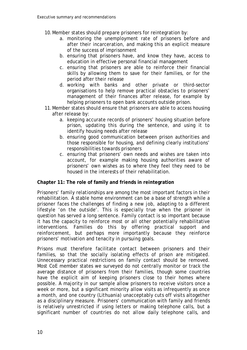- 10.Member states should prepare prisoners for reintegration by:
	- a. monitoring the unemployment rate of prisoners before and after their incarceration, and making this an explicit measure of the success of imprisonment
	- b. ensuring that prisoners have, and know they have, access to education in effective personal financial management
	- c. ensuring that prisoners are able to reinforce their financial skills by allowing them to save for their families, or for the period after their release
	- d. working with banks and other private or third-sector organisations to help remove practical obstacles to prisoners' management of their finances after release, for example by helping prisoners to open bank accounts outside prison.
- 11.Member states should ensure that prisoners are able to access housing after release by:
	- a. keeping accurate records of prisoners' housing situation before prison, updating this during the sentence, and using it to identify housing needs after release
	- b. ensuring good communication between prison authorities and those responsible for housing, and defining clearly institutions' responsibilities towards prisoners
	- c. ensuring that prisoners' own needs and wishes are taken into account, for example making housing authorities aware of prisoners' own wishes as to where they feel they need to be housed in the interests of their rehabilitation.

#### **Chapter 11: The role of family and friends in reintegration**

Prisoners' family relationships are among the most important factors in their rehabilitation. A stable home environment can be a base of strength while a prisoner faces the challenges of finding a new job, adapting to a different lifestyle 'on the outside'. This is especially true when the prisoner in question has served a long sentence. Family contact is so important because it has the capacity to reinforce most or all other potentially rehabilitative interventions. Families do this by offering practical support and reinforcement, but perhaps more importantly because they reinforce prisoners' motivation and tenacity in pursuing goals.

Prisons must therefore facilitate contact between prisoners and their families, so that the socially isolating effects of prison are mitigated. Unnecessary practical restrictions on family contact should be removed. Most CoE member states we surveyed do not centrally monitor or track the average distance of prisoners from their families, though some countries have the explicit aim of keeping prisoners close to their homes where possible. A majority in our sample allow prisoners to receive visitors once a week or more, but a significant minority allow visits as infrequently as once a month, and one country (Lithuania) unacceptably cuts off visits altogether as a disciplinary measure. Prisoners' communication with family and friends is relatively unrestricted if using letters or making telephone calls, but a significant number of countries do not allow daily telephone calls, and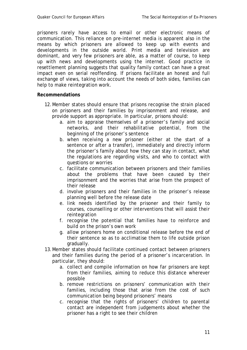prisoners rarely have access to email or other electronic means of communication. This reliance on pre-internet media is apparent also in the means by which prisoners are allowed to keep up with events and developments in the outside world. Print media and television are dominant, and very few prisoners are able, as a matter of course, to keep up with news and developments using the internet. Good practice in resettlement planning suggests that quality family contact can have a great impact even on serial reoffending. If prisons facilitate an honest and full exchange of views, taking into account the needs of both sides, families can help to make reintegration work.

- 12.Member states should ensure that prisons recognise the strain placed on prisoners and their families by imprisonment and release, and provide support as appropriate. In particular, prisons should:
	- a. aim to appraise themselves of a prisoner's family and social networks, and their rehabilitative potential, from the beginning of the prisoner's sentence
	- b. when receiving a new prisoner (either at the start of a sentence or after a transfer), immediately and directly inform the prisoner's family about how they can stay in contact, what the regulations are regarding visits, and who to contact with questions or worries
	- c. facilitate communication between prisoners and their families about the problems that have been caused by their imprisonment and the worries that arise from the prospect of their release
	- d. involve prisoners and their families in the prisoner's release planning well before the release date
	- e. link needs identified by the prisoner and their family to courses, counselling or other interventions that will assist their reintegration
	- f. recognise the potential that families have to reinforce and build on the prison's own work
	- g. allow prisoners home on conditional release before the end of their sentence so as to acclimatise them to life outside prison gradually.
- 13.Member states should facilitate continued contact between prisoners and their families during the period of a prisoner's incarceration. In particular, they should:
	- a. collect and compile information on how far prisoners are kept from their families, aiming to reduce this distance wherever possible
	- b. remove restrictions on prisoners' communication with their families, including those that arise from the cost of such communication being beyond prisoners' means
	- c. recognise that the rights of prisoners' children to parental contact are independent from judgements about whether the prisoner has a right to see their children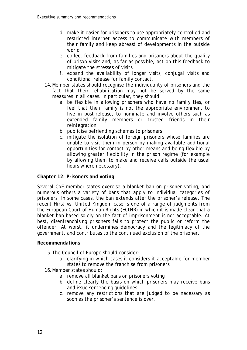- d. make it easier for prisoners to use appropriately controlled and restricted internet access to communicate with members of their family and keep abreast of developments in the outside world
- e. collect feedback from families and prisoners about the quality of prison visits and, as far as possible, act on this feedback to mitigate the stresses of visits
- f. expand the availability of longer visits, conjugal visits and conditional release for family contact.
- 14.Member states should recognise the individuality of prisoners and the fact that their rehabilitation may not be served by the same measures in all cases. In particular, they should:
	- a. be flexible in allowing prisoners who have no family ties, or feel that their family is not the appropriate environment to live in post-release, to nominate and involve others such as extended family members or trusted friends in their reintegration
	- b. publicise befriending schemes to prisoners
	- c. mitigate the isolation of foreign prisoners whose families are unable to visit them in person by making available additional opportunities for contact by other means and being flexible by allowing greater flexibility in the prison regime (for example by allowing them to make and receive calls outside the usual hours where necessary).

#### **Chapter 12: Prisoners and voting**

Several CoE member states exercise a blanket ban on prisoner voting, and numerous others a variety of bans that apply to individual categories of prisoners. In some cases, the ban extends after the prisoner's release. The recent *Hirst vs. United Kingdom* case is one of a range of judgments from the European Court of Human Rights (ECtHR) in which it is made clear that a blanket ban based solely on the fact of imprisonment is not acceptable. At best, disenfranchising prisoners fails to protect the public or reform the offender. At worst, it undermines democracy and the legitimacy of the government, and contributes to the continued exclusion of the prisoner.

- 15.The Council of Europe should consider:
	- a. clarifying in which cases it considers it acceptable for member states to remove the franchise from prisoners.
- 16.Member states should:
	- a. remove all blanket bans on prisoners voting
	- b. define clearly the basis on which prisoners may receive bans and issue sentencing guidelines
	- c. remove any restrictions that are judged to be necessary as soon as the prisoner's sentence is over.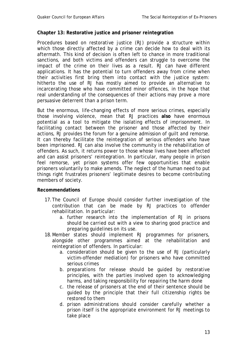#### **Chapter 13: Restorative justice and prisoner reintegration**

Procedures based on restorative justice (RJ) provide a structure within which those directly affected by a crime can decide how to deal with its aftermath. This kind of decision is often left to chance in more traditional sanctions, and both victims and offenders can struggle to overcome the impact of the crime on their lives as a result. RJ can have different applications. It has the potential to turn offenders away from crime when their activities first bring them into contact with the justice system: hitherto the use of RJ has mostly aimed to provide an alternative to incarcerating those who have committed minor offences, in the hope that real understanding of the consequences of their actions may prove a more persuasive deterrent than a prison term.

But the enormous, life-changing effects of more serious crimes, especially those involving violence, mean that RJ practices **also** have enormous potential as a tool to mitigate the isolating effects of imprisonment. In facilitating contact between the prisoner and those affected by their actions, RJ provides the forum for a genuine admission of guilt and remorse. It can thereby facilitate the reintegration of serious offenders who have been imprisoned. RJ can also involve the community in the rehabilitation of offenders. As such, it returns power to those whose lives have been affected and can assist prisoners' reintegration. In particular, many people in prison feel remorse, yet prison systems offer few opportunities that enable prisoners voluntarily to make amends. The neglect of the human need to put things right frustrates prisoners' legitimate desires to become contributing members of society.

- 17.The Council of Europe should consider further investigation of the contribution that can be made by RJ practices to offender rehabilitation. In particular:
	- a. further research into the implementation of RJ in prisons should be carried out with a view to sharing good practice and preparing guidelines on its use.
- 18.Member states should implement RJ programmes for prisoners, alongside other programmes aimed at the rehabilitation and reintegration of offenders. In particular:
	- a. consideration should be given to the use of RJ (particularly victim-offender mediation) for prisoners who have committed serious crimes
	- b. preparations for release should be guided by restorative principles, with the parties involved open to acknowledging harms, and taking responsibility for repairing the harm done
	- c. the release of prisoners at the end of their sentence should be guided by the principle that their full citizenship rights be restored to them
	- d. prison administrations should consider carefully whether a prison itself is the appropriate environment for RJ meetings to take place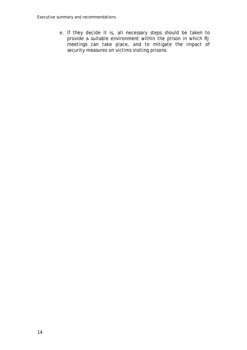e. if they decide it is, all necessary steps should be taken to provide a suitable environment within the prison in which RJ meetings can take place, and to mitigate the impact of security measures on victims visiting prisons.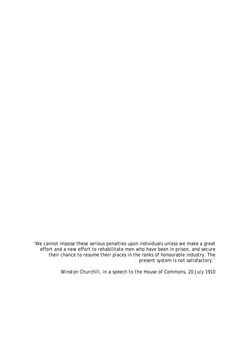'We cannot impose these serious penalties upon individuals unless we make a great effort and a new effort to rehabilitate men who have been in prison, and secure their chance to resume their places in the ranks of honourable industry. The present system is not satisfactory.'

*Winston Churchill, in a speech to the House of Commons, 20 July 1910*